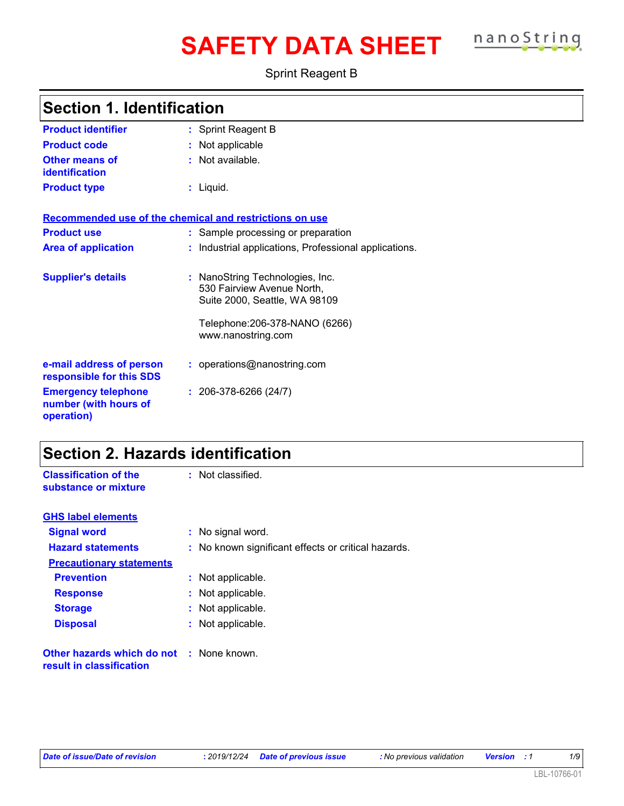# **SAFETY DATA SHEET nanoString**

Sprint Reagent B

|  |  | <b>Section 1. Identification</b> |  |
|--|--|----------------------------------|--|
|--|--|----------------------------------|--|

| <b>Product identifier</b>                                         | : Sprint Reagent B                                                                             |
|-------------------------------------------------------------------|------------------------------------------------------------------------------------------------|
| <b>Product code</b>                                               | : Not applicable                                                                               |
| <b>Other means of</b><br><b>identification</b>                    | : Not available.                                                                               |
| <b>Product type</b>                                               | : Liquid.                                                                                      |
| Recommended use of the chemical and restrictions on use           |                                                                                                |
| <b>Product use</b>                                                | : Sample processing or preparation                                                             |
| <b>Area of application</b>                                        | : Industrial applications, Professional applications.                                          |
| <b>Supplier's details</b>                                         | : NanoString Technologies, Inc.<br>530 Fairview Avenue North,<br>Suite 2000, Seattle, WA 98109 |
|                                                                   | Telephone:206-378-NANO (6266)<br>www.nanostring.com                                            |
| e-mail address of person<br>responsible for this SDS              | : operations@nanostring.com                                                                    |
| <b>Emergency telephone</b><br>number (with hours of<br>operation) | $: 206-378-6266(24/7)$                                                                         |

### **Section 2. Hazards identification**

| <b>Classification of the</b><br>substance or mixture                 | : Not classified.                                   |
|----------------------------------------------------------------------|-----------------------------------------------------|
| <b>GHS label elements</b>                                            |                                                     |
| <b>Signal word</b>                                                   | : No signal word.                                   |
| <b>Hazard statements</b>                                             | : No known significant effects or critical hazards. |
| <b>Precautionary statements</b>                                      |                                                     |
| <b>Prevention</b>                                                    | : Not applicable.                                   |
| <b>Response</b>                                                      | : Not applicable.                                   |
| <b>Storage</b>                                                       | : Not applicable.                                   |
| <b>Disposal</b>                                                      | : Not applicable.                                   |
| Other hazards which do not : None known.<br>result in classification |                                                     |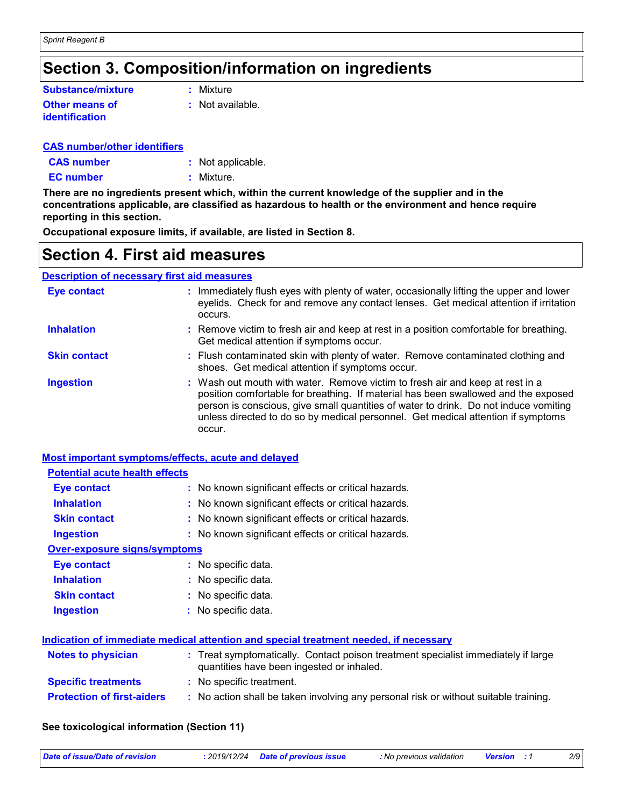### **Section 3. Composition/information on ingredients**

| <b>Substance/mixture</b> | : Mixture        |
|--------------------------|------------------|
| <b>Other means of</b>    | : Not available. |
| identification           |                  |

#### **CAS number/other identifiers**

| <b>CAS number</b> | : Not applicable. |
|-------------------|-------------------|
| <b>EC</b> number  | : Mixture.        |

**There are no ingredients present which, within the current knowledge of the supplier and in the concentrations applicable, are classified as hazardous to health or the environment and hence require reporting in this section.**

**Occupational exposure limits, if available, are listed in Section 8.**

### **Section 4. First aid measures**

#### **Description of necessary first aid measures**

| <b>Eye contact</b>  | : Immediately flush eyes with plenty of water, occasionally lifting the upper and lower<br>eyelids. Check for and remove any contact lenses. Get medical attention if irritation<br>occurs.                                                                                                                                                               |
|---------------------|-----------------------------------------------------------------------------------------------------------------------------------------------------------------------------------------------------------------------------------------------------------------------------------------------------------------------------------------------------------|
| <b>Inhalation</b>   | : Remove victim to fresh air and keep at rest in a position comfortable for breathing.<br>Get medical attention if symptoms occur.                                                                                                                                                                                                                        |
| <b>Skin contact</b> | : Flush contaminated skin with plenty of water. Remove contaminated clothing and<br>shoes. Get medical attention if symptoms occur.                                                                                                                                                                                                                       |
| <b>Ingestion</b>    | : Wash out mouth with water. Remove victim to fresh air and keep at rest in a<br>position comfortable for breathing. If material has been swallowed and the exposed<br>person is conscious, give small quantities of water to drink. Do not induce vomiting<br>unless directed to do so by medical personnel. Get medical attention if symptoms<br>occur. |

#### **Most important symptoms/effects, acute and delayed**

| <b>Potential acute health effects</b> |                                                                                                                                |
|---------------------------------------|--------------------------------------------------------------------------------------------------------------------------------|
| Eye contact                           | : No known significant effects or critical hazards.                                                                            |
| <b>Inhalation</b>                     | : No known significant effects or critical hazards.                                                                            |
| <b>Skin contact</b>                   | : No known significant effects or critical hazards.                                                                            |
| <b>Ingestion</b>                      | : No known significant effects or critical hazards.                                                                            |
| <b>Over-exposure signs/symptoms</b>   |                                                                                                                                |
| Eye contact                           | : No specific data.                                                                                                            |
| <b>Inhalation</b>                     | : No specific data.                                                                                                            |
| <b>Skin contact</b>                   | : No specific data.                                                                                                            |
| <b>Ingestion</b>                      | : No specific data.                                                                                                            |
|                                       | Indication of immediate medical attention and special treatment needed, if necessary                                           |
| <b>Notes to physician</b>             | : Treat symptomatically. Contact poison treatment specialist immediately if large<br>quantities have been ingested or inhaled. |
| <b>Specific treatments</b>            | : No specific treatment.                                                                                                       |
| <b>Protection of first-aiders</b>     | : No action shall be taken involving any personal risk or without suitable training.                                           |

#### **See toxicological information (Section 11)**

| Date of issue/Date of revision | : 2019/12/24 Date of previous issue | No previous validation Version : 1 |  | 2/S |
|--------------------------------|-------------------------------------|------------------------------------|--|-----|
|                                |                                     |                                    |  |     |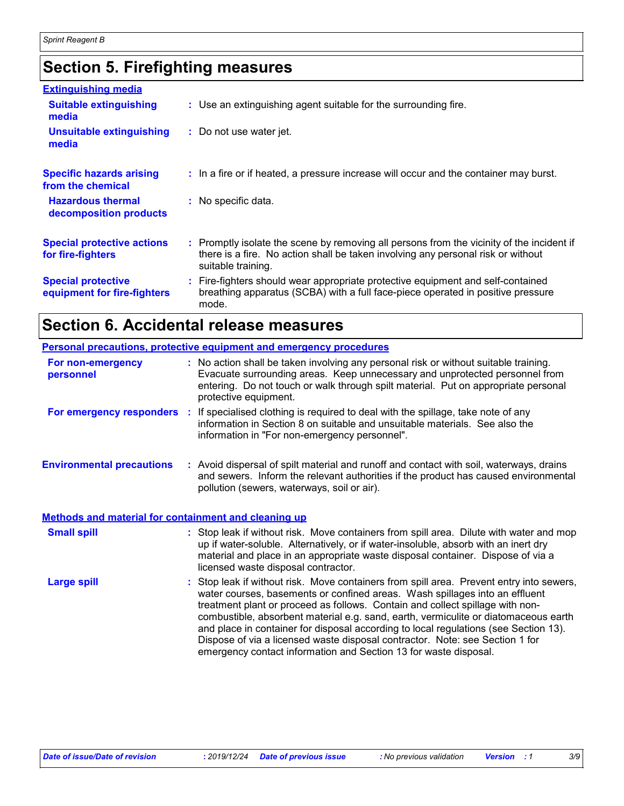### **Section 5. Firefighting measures**

| <b>Extinguishing media</b>                               |                                                                                                                                                                                                     |
|----------------------------------------------------------|-----------------------------------------------------------------------------------------------------------------------------------------------------------------------------------------------------|
| <b>Suitable extinguishing</b><br>media                   | : Use an extinguishing agent suitable for the surrounding fire.                                                                                                                                     |
| <b>Unsuitable extinguishing</b><br>media                 | : Do not use water jet.                                                                                                                                                                             |
| <b>Specific hazards arising</b><br>from the chemical     | : In a fire or if heated, a pressure increase will occur and the container may burst.                                                                                                               |
| <b>Hazardous thermal</b><br>decomposition products       | : No specific data.                                                                                                                                                                                 |
| <b>Special protective actions</b><br>for fire-fighters   | : Promptly isolate the scene by removing all persons from the vicinity of the incident if<br>there is a fire. No action shall be taken involving any personal risk or without<br>suitable training. |
| <b>Special protective</b><br>equipment for fire-fighters | : Fire-fighters should wear appropriate protective equipment and self-contained<br>breathing apparatus (SCBA) with a full face-piece operated in positive pressure<br>mode.                         |

### **Section 6. Accidental release measures**

|                                                      | Personal precautions, protective equipment and emergency procedures                                                                                                                                                                                                                                                                                                                                                                                                                                                                                                                         |
|------------------------------------------------------|---------------------------------------------------------------------------------------------------------------------------------------------------------------------------------------------------------------------------------------------------------------------------------------------------------------------------------------------------------------------------------------------------------------------------------------------------------------------------------------------------------------------------------------------------------------------------------------------|
| For non-emergency<br>personnel                       | : No action shall be taken involving any personal risk or without suitable training.<br>Evacuate surrounding areas. Keep unnecessary and unprotected personnel from<br>entering. Do not touch or walk through spilt material. Put on appropriate personal<br>protective equipment.                                                                                                                                                                                                                                                                                                          |
|                                                      | For emergency responders : If specialised clothing is required to deal with the spillage, take note of any<br>information in Section 8 on suitable and unsuitable materials. See also the<br>information in "For non-emergency personnel".                                                                                                                                                                                                                                                                                                                                                  |
| <b>Environmental precautions</b>                     | : Avoid dispersal of spilt material and runoff and contact with soil, waterways, drains<br>and sewers. Inform the relevant authorities if the product has caused environmental<br>pollution (sewers, waterways, soil or air).                                                                                                                                                                                                                                                                                                                                                               |
| Methods and material for containment and cleaning up |                                                                                                                                                                                                                                                                                                                                                                                                                                                                                                                                                                                             |
| <b>Small spill</b>                                   | : Stop leak if without risk. Move containers from spill area. Dilute with water and mop<br>up if water-soluble. Alternatively, or if water-insoluble, absorb with an inert dry<br>material and place in an appropriate waste disposal container. Dispose of via a<br>licensed waste disposal contractor.                                                                                                                                                                                                                                                                                    |
| <b>Large spill</b>                                   | : Stop leak if without risk. Move containers from spill area. Prevent entry into sewers,<br>water courses, basements or confined areas. Wash spillages into an effluent<br>treatment plant or proceed as follows. Contain and collect spillage with non-<br>combustible, absorbent material e.g. sand, earth, vermiculite or diatomaceous earth<br>and place in container for disposal according to local regulations (see Section 13).<br>Dispose of via a licensed waste disposal contractor. Note: see Section 1 for<br>emergency contact information and Section 13 for waste disposal. |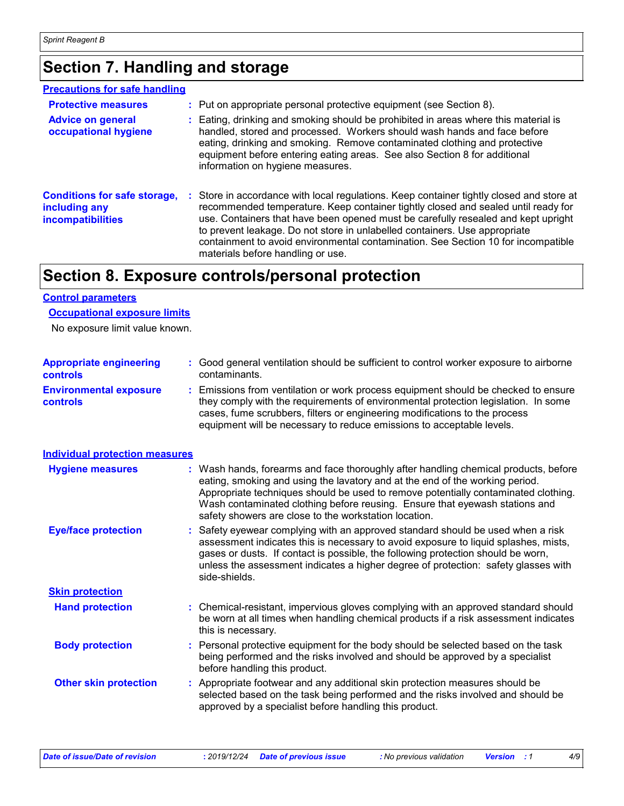### **Section 7. Handling and storage**

#### **Precautions for safe handling**

| <b>Protective measures</b><br><b>Advice on general</b><br>occupational hygiene   | : Put on appropriate personal protective equipment (see Section 8).<br>: Eating, drinking and smoking should be prohibited in areas where this material is<br>handled, stored and processed. Workers should wash hands and face before<br>eating, drinking and smoking. Remove contaminated clothing and protective<br>equipment before entering eating areas. See also Section 8 for additional<br>information on hygiene measures.                                       |
|----------------------------------------------------------------------------------|----------------------------------------------------------------------------------------------------------------------------------------------------------------------------------------------------------------------------------------------------------------------------------------------------------------------------------------------------------------------------------------------------------------------------------------------------------------------------|
| <b>Conditions for safe storage,</b><br>including any<br><b>incompatibilities</b> | : Store in accordance with local regulations. Keep container tightly closed and store at<br>recommended temperature. Keep container tightly closed and sealed until ready for<br>use. Containers that have been opened must be carefully resealed and kept upright<br>to prevent leakage. Do not store in unlabelled containers. Use appropriate<br>containment to avoid environmental contamination. See Section 10 for incompatible<br>materials before handling or use. |

### **Section 8. Exposure controls/personal protection**

#### **Control parameters**

#### **Occupational exposure limits**

No exposure limit value known.

| <b>Appropriate engineering</b><br><b>controls</b> | : Good general ventilation should be sufficient to control worker exposure to airborne<br>contaminants.                                                                                                                                                                                                                                                                                           |  |
|---------------------------------------------------|---------------------------------------------------------------------------------------------------------------------------------------------------------------------------------------------------------------------------------------------------------------------------------------------------------------------------------------------------------------------------------------------------|--|
| <b>Environmental exposure</b><br>controls         | : Emissions from ventilation or work process equipment should be checked to ensure<br>they comply with the requirements of environmental protection legislation. In some<br>cases, fume scrubbers, filters or engineering modifications to the process<br>equipment will be necessary to reduce emissions to acceptable levels.                                                                   |  |
| <b>Individual protection measures</b>             |                                                                                                                                                                                                                                                                                                                                                                                                   |  |
| <b>Hygiene measures</b>                           | : Wash hands, forearms and face thoroughly after handling chemical products, before<br>eating, smoking and using the lavatory and at the end of the working period.<br>Appropriate techniques should be used to remove potentially contaminated clothing.<br>Wash contaminated clothing before reusing. Ensure that eyewash stations and<br>safety showers are close to the workstation location. |  |
| <b>Eye/face protection</b>                        | : Safety eyewear complying with an approved standard should be used when a risk<br>assessment indicates this is necessary to avoid exposure to liquid splashes, mists,<br>gases or dusts. If contact is possible, the following protection should be worn,<br>unless the assessment indicates a higher degree of protection: safety glasses with<br>side-shields.                                 |  |
| <b>Skin protection</b>                            |                                                                                                                                                                                                                                                                                                                                                                                                   |  |
| <b>Hand protection</b>                            | : Chemical-resistant, impervious gloves complying with an approved standard should<br>be worn at all times when handling chemical products if a risk assessment indicates<br>this is necessary.                                                                                                                                                                                                   |  |
| <b>Body protection</b>                            | : Personal protective equipment for the body should be selected based on the task<br>being performed and the risks involved and should be approved by a specialist<br>before handling this product.                                                                                                                                                                                               |  |
| <b>Other skin protection</b>                      | : Appropriate footwear and any additional skin protection measures should be<br>selected based on the task being performed and the risks involved and should be<br>approved by a specialist before handling this product.                                                                                                                                                                         |  |
|                                                   |                                                                                                                                                                                                                                                                                                                                                                                                   |  |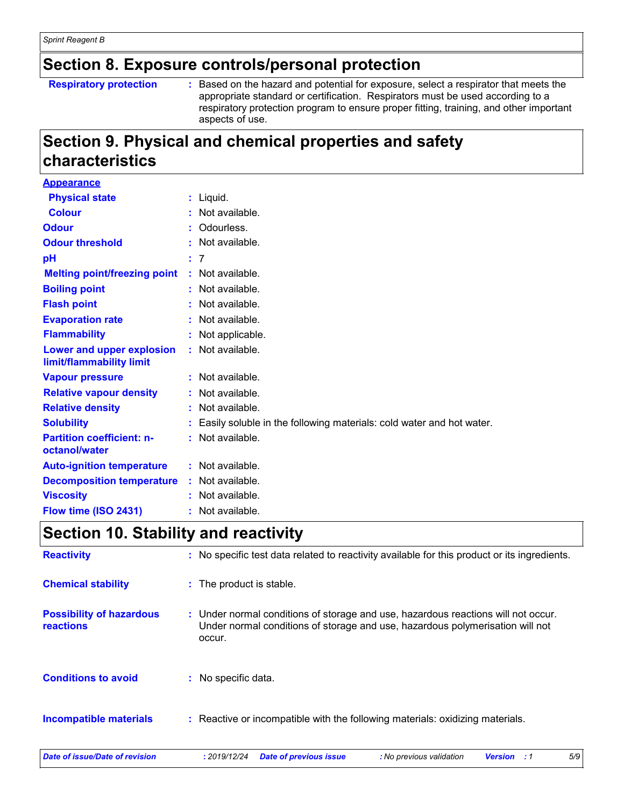### **Section 8. Exposure controls/personal protection**

#### **Respiratory protection :**

Based on the hazard and potential for exposure, select a respirator that meets the appropriate standard or certification. Respirators must be used according to a respiratory protection program to ensure proper fitting, training, and other important aspects of use.

### **Section 9. Physical and chemical properties and safety characteristics**

| <b>Appearance</b>                                     |                                                                        |
|-------------------------------------------------------|------------------------------------------------------------------------|
| <b>Physical state</b>                                 | $:$ Liquid.                                                            |
| <b>Colour</b>                                         | : Not available.                                                       |
| <b>Odour</b>                                          | Odourless.                                                             |
| <b>Odour threshold</b>                                | : Not available.                                                       |
| рH                                                    | : 7                                                                    |
| <b>Melting point/freezing point</b>                   | : Not available.                                                       |
| <b>Boiling point</b>                                  | $:$ Not available.                                                     |
| <b>Flash point</b>                                    | $:$ Not available.                                                     |
| <b>Evaporation rate</b>                               | : Not available.                                                       |
| <b>Flammability</b>                                   | : Not applicable.                                                      |
| Lower and upper explosion<br>limit/flammability limit | $:$ Not available.                                                     |
| <b>Vapour pressure</b>                                | $:$ Not available.                                                     |
| <b>Relative vapour density</b>                        | : Not available.                                                       |
| <b>Relative density</b>                               | : Not available.                                                       |
| <b>Solubility</b>                                     | : Easily soluble in the following materials: cold water and hot water. |
| <b>Partition coefficient: n-</b><br>octanol/water     | : Not available.                                                       |
| <b>Auto-ignition temperature</b>                      | $:$ Not available.                                                     |
| <b>Decomposition temperature</b>                      | : Not available.                                                       |
| <b>Viscosity</b>                                      | Not available.                                                         |
| Flow time (ISO 2431)                                  | : Not available.                                                       |

### **Section 10. Stability and reactivity**

| <b>Reactivity</b>                            | : No specific test data related to reactivity available for this product or its ingredients.                                                                                 |  |  |  |  |  |
|----------------------------------------------|------------------------------------------------------------------------------------------------------------------------------------------------------------------------------|--|--|--|--|--|
| <b>Chemical stability</b>                    | : The product is stable.                                                                                                                                                     |  |  |  |  |  |
| <b>Possibility of hazardous</b><br>reactions | : Under normal conditions of storage and use, hazardous reactions will not occur.<br>Under normal conditions of storage and use, hazardous polymerisation will not<br>occur. |  |  |  |  |  |
| <b>Conditions to avoid</b>                   | No specific data.                                                                                                                                                            |  |  |  |  |  |
| <b>Incompatible materials</b>                | : Reactive or incompatible with the following materials: oxidizing materials.                                                                                                |  |  |  |  |  |
| Date of issue/Date of revision               | 5/9<br>: 2019/12/24<br><b>Date of previous issue</b><br>: No previous validation<br><b>Version</b><br>: 1                                                                    |  |  |  |  |  |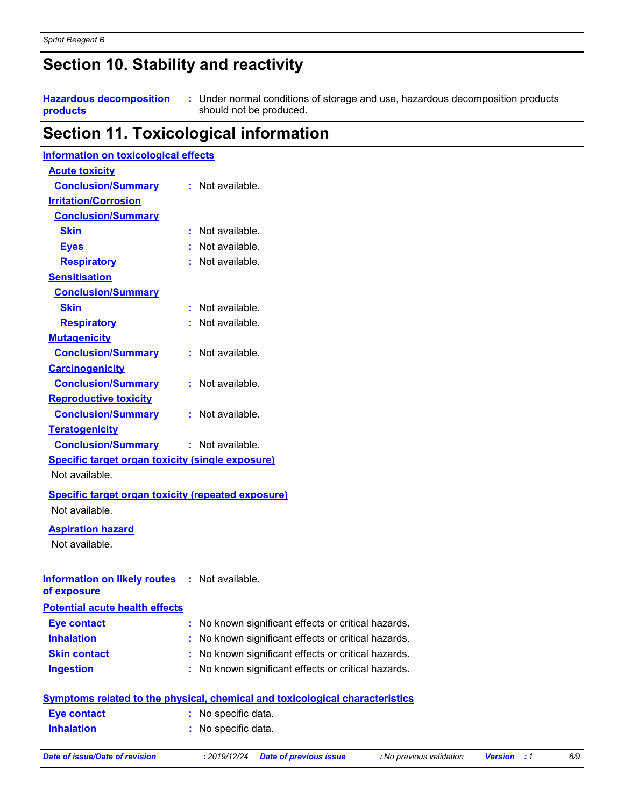### **Section 10. Stability and reactivity**

**Hazardous decomposition products**

Under normal conditions of storage and use, hazardous decomposition products **:** should not be produced.

### **Section 11. Toxicological information**

| <b>Information on toxicological effects</b>               |   |                                                                              |
|-----------------------------------------------------------|---|------------------------------------------------------------------------------|
| <b>Acute toxicity</b>                                     |   |                                                                              |
| <b>Conclusion/Summary</b>                                 |   | $:$ Not available.                                                           |
| <b>Irritation/Corrosion</b>                               |   |                                                                              |
| <b>Conclusion/Summary</b>                                 |   |                                                                              |
| <b>Skin</b>                                               |   | : Not available.                                                             |
| <b>Eyes</b>                                               |   | : Not available.                                                             |
| <b>Respiratory</b>                                        |   | : Not available.                                                             |
| <b>Sensitisation</b>                                      |   |                                                                              |
| <b>Conclusion/Summary</b>                                 |   |                                                                              |
| <b>Skin</b>                                               |   | : Not available.                                                             |
| <b>Respiratory</b>                                        |   | : Not available.                                                             |
| <b>Mutagenicity</b>                                       |   |                                                                              |
| <b>Conclusion/Summary</b>                                 |   | : Not available.                                                             |
| <b>Carcinogenicity</b>                                    |   |                                                                              |
| <b>Conclusion/Summary</b>                                 |   | : Not available.                                                             |
| <b>Reproductive toxicity</b>                              |   |                                                                              |
| <b>Conclusion/Summary</b>                                 |   | : Not available.                                                             |
| <b>Teratogenicity</b>                                     |   |                                                                              |
| <b>Conclusion/Summary</b>                                 |   | : Not available.                                                             |
| <b>Specific target organ toxicity (single exposure)</b>   |   |                                                                              |
| Not available.                                            |   |                                                                              |
| <b>Specific target organ toxicity (repeated exposure)</b> |   |                                                                              |
| Not available.                                            |   |                                                                              |
|                                                           |   |                                                                              |
| <b>Aspiration hazard</b><br>Not available.                |   |                                                                              |
|                                                           |   |                                                                              |
|                                                           |   |                                                                              |
| Information on likely routes : Not available.             |   |                                                                              |
| of exposure                                               |   |                                                                              |
| <b>Potential acute health effects</b>                     |   |                                                                              |
| <b>Eye contact</b>                                        | ÷ | No known significant effects or critical hazards.                            |
| <b>Inhalation</b>                                         |   | No known significant effects or critical hazards.                            |
| <b>Skin contact</b>                                       |   | No known significant effects or critical hazards.                            |
| <b>Ingestion</b>                                          |   | No known significant effects or critical hazards.                            |
|                                                           |   | Symptoms related to the physical, chemical and toxicological characteristics |
| <b>Eye contact</b>                                        | t | No specific data.                                                            |
| <b>Inhalation</b>                                         |   | No specific data.                                                            |
|                                                           |   |                                                                              |

*Date of issue/Date of revision* **:** *2019/12/24 Date of previous issue : No previous validation Version : 1 6/9*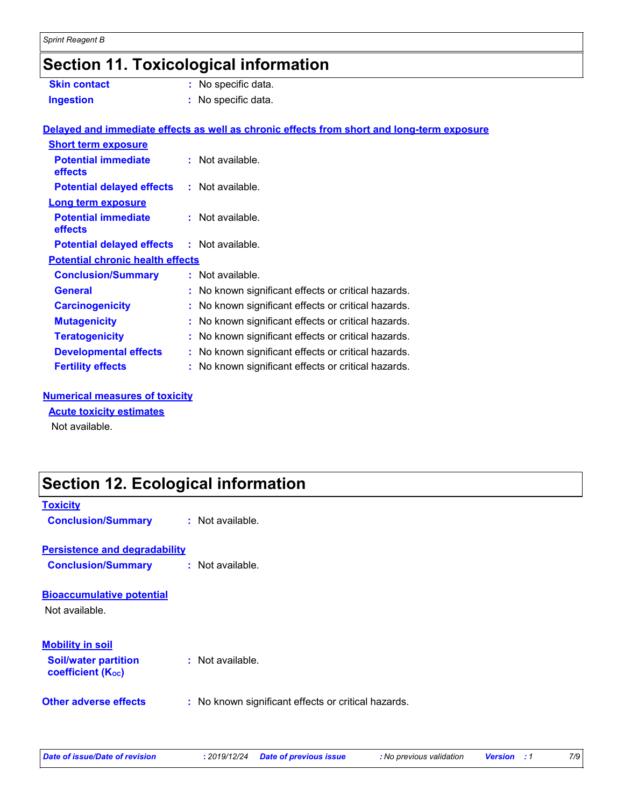## **Section 11. Toxicological information**

| <b>Skin contact</b>                               | : No specific data.                                                                        |  |
|---------------------------------------------------|--------------------------------------------------------------------------------------------|--|
| <b>Ingestion</b>                                  | : No specific data.                                                                        |  |
|                                                   |                                                                                            |  |
|                                                   | Delayed and immediate effects as well as chronic effects from short and long-term exposure |  |
| <b>Short term exposure</b>                        |                                                                                            |  |
| <b>Potential immediate</b><br>effects             | $\therefore$ Not available.                                                                |  |
| <b>Potential delayed effects</b>                  | : Not available.                                                                           |  |
| <b>Long term exposure</b>                         |                                                                                            |  |
| <b>Potential immediate</b><br>effects             | : Not available.                                                                           |  |
| <b>Potential delayed effects : Not available.</b> |                                                                                            |  |
| <b>Potential chronic health effects</b>           |                                                                                            |  |
| <b>Conclusion/Summary</b>                         | : Not available.                                                                           |  |
| <b>General</b>                                    | : No known significant effects or critical hazards.                                        |  |
| <b>Carcinogenicity</b>                            | : No known significant effects or critical hazards.                                        |  |
| <b>Mutagenicity</b>                               | : No known significant effects or critical hazards.                                        |  |
| <b>Teratogenicity</b>                             | : No known significant effects or critical hazards.                                        |  |
| <b>Developmental effects</b>                      | : No known significant effects or critical hazards.                                        |  |
| <b>Fertility effects</b>                          | : No known significant effects or critical hazards.                                        |  |
|                                                   |                                                                                            |  |

#### **Numerical measures of toxicity**

#### **Acute toxicity estimates**

Not available.

### **Section 12. Ecological information**

| <b>Toxicity</b><br><b>Conclusion/Summary</b>                                       | $:$ Not available.                                  |
|------------------------------------------------------------------------------------|-----------------------------------------------------|
| <b>Persistence and degradability</b><br><b>Conclusion/Summary</b>                  | $:$ Not available.                                  |
| <b>Bioaccumulative potential</b><br>Not available.                                 |                                                     |
| <b>Mobility in soil</b><br><b>Soil/water partition</b><br><b>coefficient (Koc)</b> | $:$ Not available.                                  |
| Other adverse effects                                                              | : No known significant effects or critical hazards. |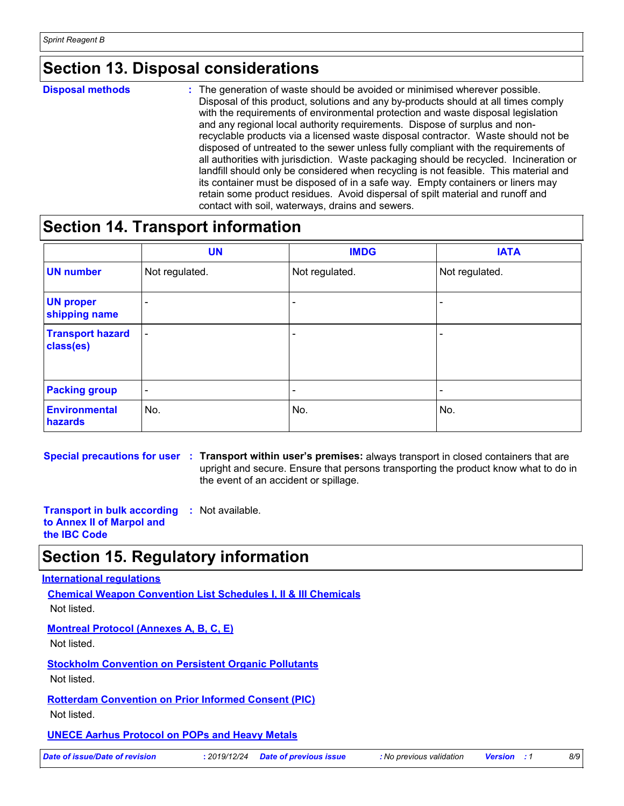### **Section 13. Disposal considerations**

**Disposal methods :**

The generation of waste should be avoided or minimised wherever possible. Disposal of this product, solutions and any by-products should at all times comply with the requirements of environmental protection and waste disposal legislation and any regional local authority requirements. Dispose of surplus and nonrecyclable products via a licensed waste disposal contractor. Waste should not be disposed of untreated to the sewer unless fully compliant with the requirements of all authorities with jurisdiction. Waste packaging should be recycled. Incineration or landfill should only be considered when recycling is not feasible. This material and its container must be disposed of in a safe way. Empty containers or liners may retain some product residues. Avoid dispersal of spilt material and runoff and contact with soil, waterways, drains and sewers.

#### **Section 14. Transport information**

|                                      | <b>UN</b>                | <b>IMDG</b>              | <b>IATA</b>    |
|--------------------------------------|--------------------------|--------------------------|----------------|
| <b>UN number</b>                     | Not regulated.           | Not regulated.           | Not regulated. |
| <b>UN proper</b><br>shipping name    | $\qquad \qquad$          |                          |                |
| <b>Transport hazard</b><br>class(es) | $\overline{\phantom{a}}$ | $\overline{\phantom{0}}$ |                |
| <b>Packing group</b>                 | $\overline{\phantom{a}}$ | $\overline{\phantom{0}}$ | -              |
| <b>Environmental</b><br>hazards      | No.                      | No.                      | No.            |

**Special precautions for user Transport within user's premises:** always transport in closed containers that are **:** upright and secure. Ensure that persons transporting the product know what to do in the event of an accident or spillage.

**Transport in bulk according :** Not available. **to Annex II of Marpol and the IBC Code**

### **Section 15. Regulatory information**

#### **International regulations**

**Chemical Weapon Convention List Schedules I, II & III Chemicals** Not listed.

**Montreal Protocol (Annexes A, B, C, E)**

Not listed.

**Stockholm Convention on Persistent Organic Pollutants** Not listed.

**Rotterdam Convention on Prior Informed Consent (PIC)**

Not listed.

#### **UNECE Aarhus Protocol on POPs and Heavy Metals**

*Date of issue/Date of revision* **:** *2019/12/24 Date of previous issue : No previous validation Version : 1 8/9*